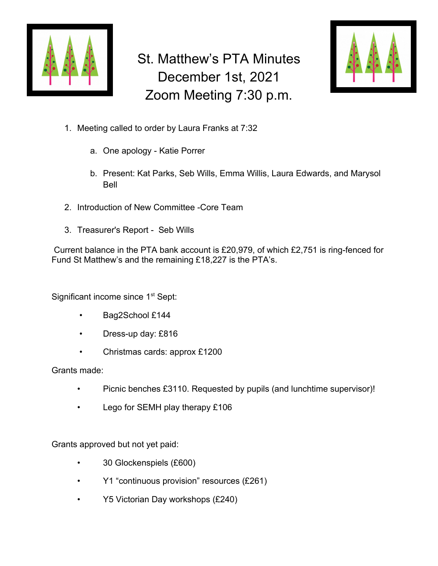

## St. Matthew's PTA Minutes December 1st, 2021 Zoom Meeting 7:30 p.m.



- 1. Meeting called to order by Laura Franks at 7:32
	- a. One apology Katie Porrer
	- b. Present: Kat Parks, Seb Wills, Emma Willis, Laura Edwards, and Marysol Bell
- 2. Introduction of New Committee -Core Team
- 3. Treasurer's Report Seb Wills

 Current balance in the PTA bank account is £20,979, of which £2,751 is ring-fenced for Fund St Matthew's and the remaining £18,227 is the PTA's.

Significant income since 1<sup>st</sup> Sept:

- Bag2School £144
- Dress-up day: £816
- Christmas cards: approx £1200

Grants made:

- Picnic benches £3110. Requested by pupils (and lunchtime supervisor)!
- Lego for SEMH play therapy £106

Grants approved but not yet paid:

- 30 Glockenspiels (£600)
- Y1 "continuous provision" resources (£261)
- Y5 Victorian Day workshops (£240)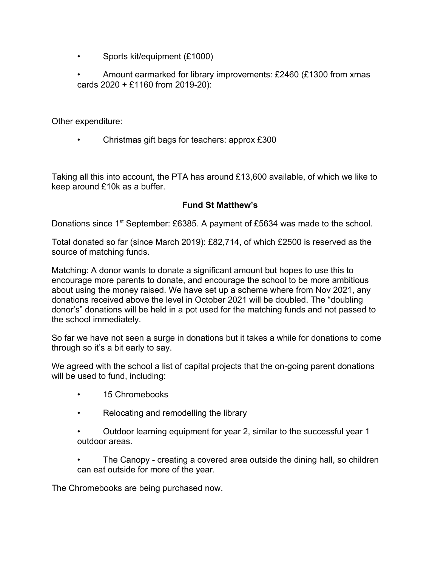• Sports kit/equipment (£1000)

• Amount earmarked for library improvements: £2460 (£1300 from xmas cards 2020 + £1160 from 2019-20):

Other expenditure:

• Christmas gift bags for teachers: approx £300

Taking all this into account, the PTA has around £13,600 available, of which we like to keep around £10k as a buffer.

## **Fund St Matthew's**

Donations since 1<sup>st</sup> September: £6385. A payment of £5634 was made to the school.

Total donated so far (since March 2019): £82,714, of which £2500 is reserved as the source of matching funds.

Matching: A donor wants to donate a significant amount but hopes to use this to encourage more parents to donate, and encourage the school to be more ambitious about using the money raised. We have set up a scheme where from Nov 2021, any donations received above the level in October 2021 will be doubled. The "doubling donor's" donations will be held in a pot used for the matching funds and not passed to the school immediately.

So far we have not seen a surge in donations but it takes a while for donations to come through so it's a bit early to say.

We agreed with the school a list of capital projects that the on-going parent donations will be used to fund, including:

- 15 Chromebooks
- Relocating and remodelling the library
- Outdoor learning equipment for year 2, similar to the successful year 1 outdoor areas.
- The Canopy creating a covered area outside the dining hall, so children can eat outside for more of the year.

The Chromebooks are being purchased now.